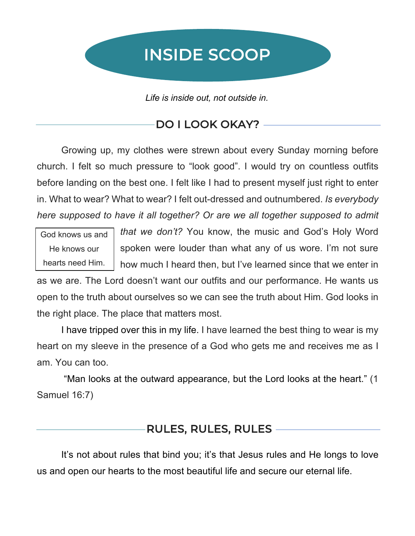# INSIDE SCOOP

*Life is inside out, not outside in.*

## DO I LOOK OKAY? -

Growing up, my clothes were strewn about every Sunday morning before church. I felt so much pressure to "look good". I would try on countless outfits before landing on the best one. I felt like I had to present myself just right to enter in. What to wear? What to wear? I felt out-dressed and outnumbered. *Is everybody here supposed to have it all together? Or are we all together supposed to admit* 

God knows us and He knows our hearts need Him.

*that we don't?* You know, the music and God's Holy Word spoken were louder than what any of us wore. I'm not sure how much I heard then, but I've learned since that we enter in

as we are. The Lord doesn't want our outfits and our performance. He wants us open to the truth about ourselves so we can see the truth about Him. God looks in the right place. The place that matters most.

I have tripped over this in my life. I have learned the best thing to wear is my heart on my sleeve in the presence of a God who gets me and receives me as I am. You can too.

"Man looks at the outward appearance, but the Lord looks at the heart." (1 Samuel 16:7)

### RULES, RULES, RULES

It's not about rules that bind you; it's that Jesus rules and He longs to love us and open our hearts to the most beautiful life and secure our eternal life.